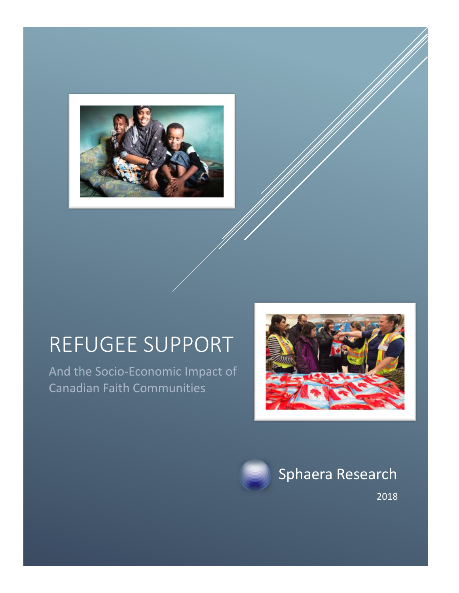

# REFUGEE SUPPORT

And the Socio-Economic Impact of Canadian Faith Communities





Sphaera Research

2018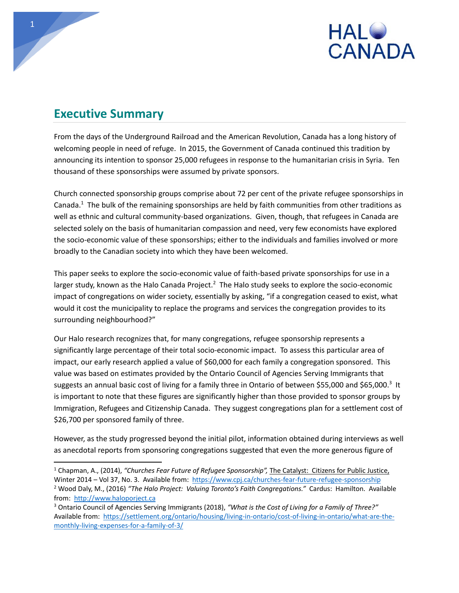

#### **Executive Summary**

From the days of the Underground Railroad and the American Revolution, Canada has a long history of welcoming people in need of refuge. In 2015, the Government of Canada continued this tradition by announcing its intention to sponsor 25,000 refugees in response to the humanitarian crisis in Syria. Ten thousand of these sponsorships were assumed by private sponsors.

Church connected sponsorship groups comprise about 72 per cent of the private refugee sponsorships in Canada.<sup>1</sup> The bulk of the remaining sponsorships are held by faith communities from other traditions as well as ethnic and cultural community-based organizations. Given, though, that refugees in Canada are selected solely on the basis of humanitarian compassion and need, very few economists have explored the socio-economic value of these sponsorships; either to the individuals and families involved or more broadly to the Canadian society into which they have been welcomed.

This paper seeks to explore the socio-economic value of faith-based private sponsorships for use in a larger study, known as the Halo Canada Project.<sup>2</sup> The Halo study seeks to explore the socio-economic impact of congregations on wider society, essentially by asking, "if a congregation ceased to exist, what would it cost the municipality to replace the programs and services the congregation provides to its surrounding neighbourhood?"

Our Halo research recognizes that, for many congregations, refugee sponsorship represents a significantly large percentage of their total socio-economic impact. To assess this particular area of impact, our early research applied a value of \$60,000 for each family a congregation sponsored. This value was based on estimates provided by the Ontario Council of Agencies Serving Immigrants that suggests an annual basic cost of living for a family three in Ontario of between \$55,000 and \$65,000.<sup>3</sup> It is important to note that these figures are significantly higher than those provided to sponsor groups by Immigration, Refugees and Citizenship Canada. They suggest congregations plan for a settlement cost of \$26,700 per sponsored family of three.

However, as the study progressed beyond the initial pilot, information obtained during interviews as well as anecdotal reports from sponsoring congregations suggested that even the more generous figure of

 $\overline{a}$ <sup>1</sup> Chapman, A., (2014), *"Churches Fear Future of Refugee Sponsorship",* The Catalyst: Citizens for Public Justice,

Winter 2014 – Vol 37, No. 3. Available from: [https://www.cpj.ca/churches](https://www.cpj.ca/churches-fear-future-refugee-sponsorship)-fear-future-refugee-sponsorship <sup>2</sup> Wood Daly, M., (2016) *"The Halo Project: Valuing Toronto's Faith Congregations."* Cardus: Hamilton. Available from: [http://www.haloporject.ca](http://www.haloporject.ca/)

<sup>3</sup> Ontario Council of Agencies Serving Immigrants (2018), *"What is the Cost of Living for a Family of Three?"*  Available from: [https://settlement.org/ontario/housing/living](https://settlement.org/ontario/housing/living-in-ontario/cost-of-living-in-ontario/what-are-the-monthly-living-expenses-for-a-family-of-3/)-in-ontario/cost-of-living-in-ontario/what-are-themonthly-living-[expenses](https://settlement.org/ontario/housing/living-in-ontario/cost-of-living-in-ontario/what-are-the-monthly-living-expenses-for-a-family-of-3/)-for-a-family-of-3/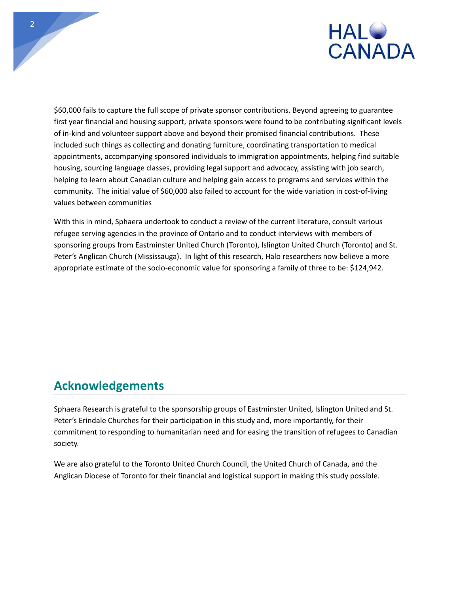

\$60,000 fails to capture the full scope of private sponsor contributions. Beyond agreeing to guarantee first year financial and housing support, private sponsors were found to be contributing significant levels of in-kind and volunteer support above and beyond their promised financial contributions. These included such things as collecting and donating furniture, coordinating transportation to medical appointments, accompanying sponsored individuals to immigration appointments, helping find suitable housing, sourcing language classes, providing legal support and advocacy, assisting with job search, helping to learn about Canadian culture and helping gain access to programs and services within the community. The initial value of \$60,000 also failed to account for the wide variation in cost-of-living values between communities

With this in mind, Sphaera undertook to conduct a review of the current literature, consult various refugee serving agencies in the province of Ontario and to conduct interviews with members of sponsoring groups from Eastminster United Church (Toronto), Islington United Church (Toronto) and St. Peter's Anglican Church (Mississauga). In light of this research, Halo researchers now believe a more appropriate estimate of the socio-economic value for sponsoring a family of three to be: \$124,942.

## **Acknowledgements**

Sphaera Research is grateful to the sponsorship groups of Eastminster United, Islington United and St. Peter's Erindale Churches for their participation in this study and, more importantly, for their commitment to responding to humanitarian need and for easing the transition of refugees to Canadian society.

We are also grateful to the Toronto United Church Council, the United Church of Canada, and the Anglican Diocese of Toronto for their financial and logistical support in making this study possible.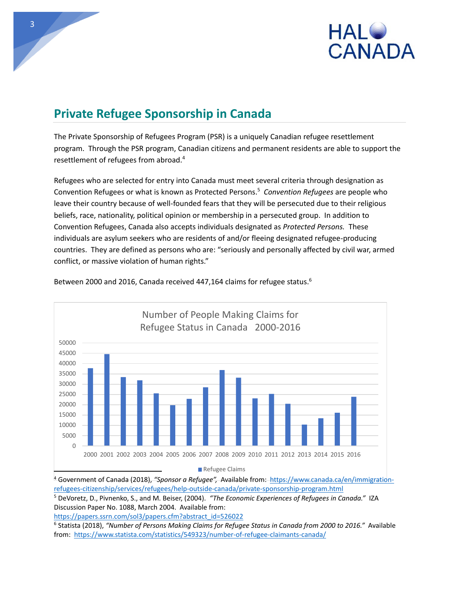

# **Private Refugee Sponsorship in Canada**

The Private Sponsorship of Refugees Program (PSR) is a uniquely Canadian refugee resettlement program. Through the PSR program, Canadian citizens and permanent residents are able to support the resettlement of refugees from abroad.<sup>4</sup>

Refugees who are selected for entry into Canada must meet several criteria through designation as Convention Refugees or what is known as Protected Persons.<sup>5</sup> *Convention Refugees* are people who leave their country because of well-founded fears that they will be persecuted due to their religious beliefs, race, nationality, political opinion or membership in a persecuted group. In addition to Convention Refugees, Canada also accepts individuals designated as *Protected Persons.* These individuals are asylum seekers who are residents of and/or fleeing designated refugee-producing countries. They are defined as persons who are: "seriously and personally affected by civil war, armed conflict, or massive violation of human rights."



Between 2000 and 2016, Canada received 447,164 claims for refugee status.<sup>6</sup>

<sup>4</sup> Government of Canada (2018), *"Sponsor a Refugee",* Available from: [https://www.canada.ca/en/immigration](https://www.canada.ca/en/immigration-refugees-citizenship/services/refugees/help-outside-canada/private-sponsorship-program.html)refugees-[citizenship/services/refugees/help](https://www.canada.ca/en/immigration-refugees-citizenship/services/refugees/help-outside-canada/private-sponsorship-program.html)-outside-canada/private-sponsorship-program.html

<sup>5</sup> DeVoretz, D., Pivnenko, S., and M. Beiser, (2004). *"The Economic Experiences of Refugees in Canada."* IZA Discussion Paper No. 1088, March 2004. Available from:

[https://papers.ssrn.com/sol3/papers.cfm?abstract\\_id=526022](https://papers.ssrn.com/sol3/papers.cfm?abstract_id=526022)

6 Statista (2018), *"Number of Persons Making Claims for Refugee Status in Canada from 2000 to 2016."* Available from: [https://www.statista.com/statistics/549323/number](https://www.statista.com/statistics/549323/number-of-refugee-claimants-canada/)-of-refugee-claimants-canada/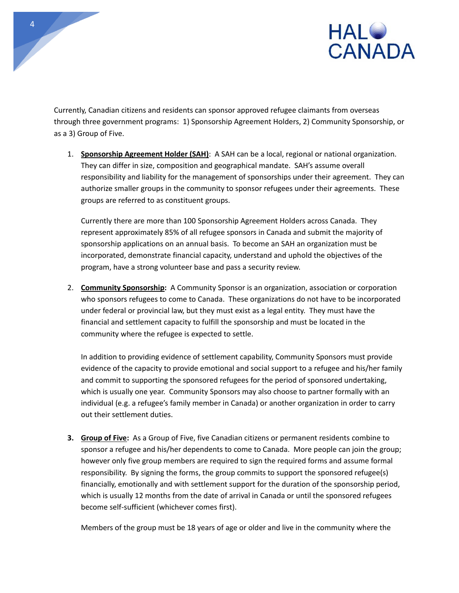



Currently, Canadian citizens and residents can sponsor approved refugee claimants from overseas through three government programs: 1) Sponsorship Agreement Holders, 2) Community Sponsorship, or as a 3) Group of Five.

1. **Sponsorship Agreement Holder (SAH)**: A SAH can be a local, regional or national organization. They can differ in size, composition and geographical mandate. SAH's assume overall responsibility and liability for the management of sponsorships under their agreement. They can authorize smaller groups in the community to sponsor refugees under their agreements. These groups are referred to as constituent groups.

Currently there are more than 100 Sponsorship Agreement Holders across Canada. They represent approximately 85% of all refugee sponsors in Canada and submit the majority of sponsorship applications on an annual basis. To become an SAH an organization must be incorporated, demonstrate financial capacity, understand and uphold the objectives of the program, have a strong volunteer base and pass a security review.

2. **Community Sponsorship:** A Community Sponsor is an organization, association or corporation who sponsors refugees to come to Canada. These organizations do not have to be incorporated under federal or provincial law, but they must exist as a legal entity. They must have the financial and settlement capacity to fulfill the sponsorship and must be located in the community where the refugee is expected to settle.

In addition to providing evidence of settlement capability, Community Sponsors must provide evidence of the capacity to provide emotional and social support to a refugee and his/her family and commit to supporting the sponsored refugees for the period of sponsored undertaking, which is usually one year. Community Sponsors may also choose to partner formally with an individual (e.g. a refugee's family member in Canada) or another organization in order to carry out their settlement duties.

**3. Group of Five:** As a Group of Five, five Canadian citizens or permanent residents combine to sponsor a refugee and his/her dependents to come to Canada. More people can join the group; however only five group members are required to sign the required forms and assume formal responsibility. By signing the forms, the group commits to support the sponsored refugee(s) financially, emotionally and with settlement support for the duration of the sponsorship period, which is usually 12 months from the date of arrival in Canada or until the sponsored refugees become self-sufficient (whichever comes first).

Members of the group must be 18 years of age or older and live in the community where the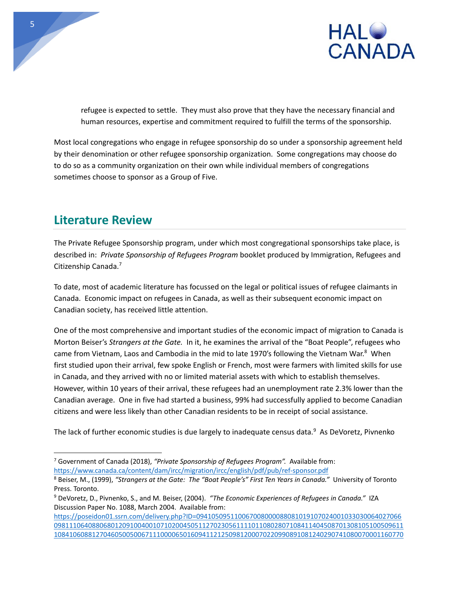

refugee is expected to settle. They must also prove that they have the necessary financial and human resources, expertise and commitment required to fulfill the terms of the sponsorship.

Most local congregations who engage in refugee sponsorship do so under a sponsorship agreement held by their denomination or other refugee sponsorship organization. Some congregations may choose do to do so as a community organization on their own while individual members of congregations sometimes choose to sponsor as a Group of Five.

## **Literature Review**

The Private Refugee Sponsorship program, under which most congregational sponsorships take place, is described in: *Private Sponsorship of Refugees Program* booklet produced by Immigration, Refugees and Citizenship Canada.<sup>7</sup>

To date, most of academic literature has focussed on the legal or political issues of refugee claimants in Canada. Economic impact on refugees in Canada, as well as their subsequent economic impact on Canadian society, has received little attention.

One of the most comprehensive and important studies of the economic impact of migration to Canada is Morton Beiser's *Strangers at the Gate.* In it, he examines the arrival of the "Boat People", refugees who came from Vietnam, Laos and Cambodia in the mid to late 1970's following the Vietnam War.<sup>8</sup> When first studied upon their arrival, few spoke English or French, most were farmers with limited skills for use in Canada, and they arrived with no or limited material assets with which to establish themselves. However, within 10 years of their arrival, these refugees had an unemployment rate 2.3% lower than the Canadian average. One in five had started a business, 99% had successfully applied to become Canadian citizens and were less likely than other Canadian residents to be in receipt of social assistance.

The lack of further economic studies is due largely to inadequate census data.<sup>9</sup> As DeVoretz, Pivnenko

 $\overline{a}$ <sup>7</sup> Government of Canada (2018), *"Private Sponsorship of Refugees Program".* Available from: [https://www.canada.ca/content/dam/ircc/migration/ircc/english/pdf/pub/ref](https://www.canada.ca/content/dam/ircc/migration/ircc/english/pdf/pub/ref-sponsor.pdf)-sponsor.pdf

<sup>8</sup> Beiser, M., (1999), *"Strangers at the Gate: The "Boat People's" First Ten Years in Canada."* University of Toronto Press. Toronto.

<sup>9</sup> DeVoretz, D., Pivnenko, S., and M. Beiser, (2004). *"The Economic Experiences of Refugees in Canada."* IZA Discussion Paper No. 1088, March 2004. Available from:

[https://poseidon01.ssrn.com/delivery.php?ID=094105095110067008000088081019107024001033030064027066](https://poseidon01.ssrn.com/delivery.php?ID=094105095110067008000088081019107024001033030064027066098111064088068012091004001071020045051127023056111101108028071084114045087013081051005096111084106088127046050050067111000065016094112125098120007022099089108124029074108007000116077024108084&EXT=pdf) [09811106408806801209100400107102004505112702305611110110802807108411404508701308105100509611](https://poseidon01.ssrn.com/delivery.php?ID=094105095110067008000088081019107024001033030064027066098111064088068012091004001071020045051127023056111101108028071084114045087013081051005096111084106088127046050050067111000065016094112125098120007022099089108124029074108007000116077024108084&EXT=pdf) [10841060881270460500500671110000650160941121250981200070220990891081240290741080070001160770](https://poseidon01.ssrn.com/delivery.php?ID=094105095110067008000088081019107024001033030064027066098111064088068012091004001071020045051127023056111101108028071084114045087013081051005096111084106088127046050050067111000065016094112125098120007022099089108124029074108007000116077024108084&EXT=pdf)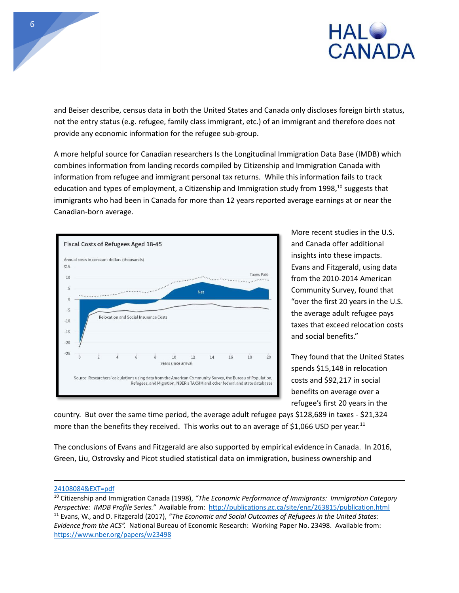

and Beiser describe, census data in both the United States and Canada only discloses foreign birth status, not the entry status (e.g. refugee, family class immigrant, etc.) of an immigrant and therefore does not provide any economic information for the refugee sub-group.

A more helpful source for Canadian researchers Is the Longitudinal Immigration Data Base (IMDB) which combines information from landing records compiled by Citizenship and Immigration Canada with information from refugee and immigrant personal tax returns. While this information fails to track education and types of employment, a Citizenship and Immigration study from 1998,<sup>10</sup> suggests that immigrants who had been in Canada for more than 12 years reported average earnings at or near the Canadian-born average.



More recent studies in the U.S. and Canada offer additional insights into these impacts. Evans and Fitzgerald, using data from the 2010-2014 American Community Survey, found that "over the first 20 years in the U.S. the average adult refugee pays taxes that exceed relocation costs and social benefits."

They found that the United States spends \$15,148 in relocation costs and \$92,217 in social benefits on average over a refugee's first 20 years in the

country. But over the same time period, the average adult refugee pays \$128,689 in taxes - \$21,324 more than the benefits they received. This works out to an average of \$1,066 USD per year.<sup>11</sup>

The conclusions of Evans and Fitzgerald are also supported by empirical evidence in Canada. In 2016, Green, Liu, Ostrovsky and Picot studied statistical data on immigration, business ownership and

[<sup>24108084&</sup>amp;EXT=pdf](https://poseidon01.ssrn.com/delivery.php?ID=094105095110067008000088081019107024001033030064027066098111064088068012091004001071020045051127023056111101108028071084114045087013081051005096111084106088127046050050067111000065016094112125098120007022099089108124029074108007000116077024108084&EXT=pdf)

<sup>10</sup> Citizenship and Immigration Canada (1998), *"The Economic Performance of Immigrants: Immigration Category Perspective: IMDB Profile Series."* Available from:<http://publications.gc.ca/site/eng/263815/publication.html> <sup>11</sup> Evans, W., and D. Fitzgerald (2017), *"The Economic and Social Outcomes of Refugees in the United States: Evidence from the ACS".* National Bureau of Economic Research: Working Paper No. 23498. Available from: <https://www.nber.org/papers/w23498>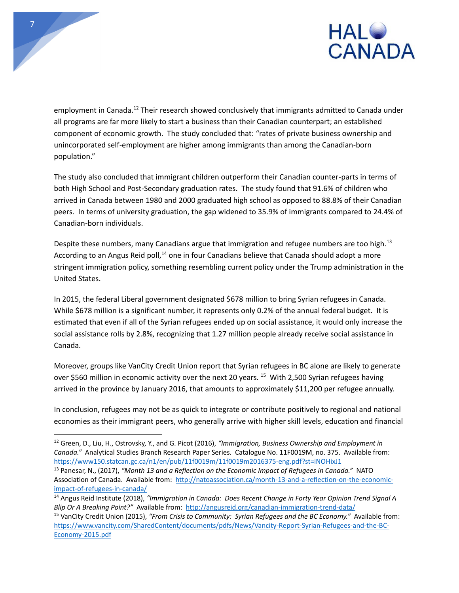

employment in Canada.<sup>12</sup> Their research showed conclusively that immigrants admitted to Canada under all programs are far more likely to start a business than their Canadian counterpart; an established component of economic growth. The study concluded that: "rates of private business ownership and unincorporated self-employment are higher among immigrants than among the Canadian-born population."

7

 $\overline{a}$ 

The study also concluded that immigrant children outperform their Canadian counter-parts in terms of both High School and Post-Secondary graduation rates. The study found that 91.6% of children who arrived in Canada between 1980 and 2000 graduated high school as opposed to 88.8% of their Canadian peers. In terms of university graduation, the gap widened to 35.9% of immigrants compared to 24.4% of Canadian-born individuals.

Despite these numbers, many Canadians argue that immigration and refugee numbers are too high.<sup>13</sup> According to an Angus Reid poll,<sup>14</sup> one in four Canadians believe that Canada should adopt a more stringent immigration policy, something resembling current policy under the Trump administration in the United States.

In 2015, the federal Liberal government designated \$678 million to bring Syrian refugees in Canada. While \$678 million is a significant number, it represents only 0.2% of the annual federal budget. It is estimated that even if all of the Syrian refugees ended up on social assistance, it would only increase the social assistance rolls by 2.8%, recognizing that 1.27 million people already receive social assistance in Canada.

Moreover, groups like VanCity Credit Union report that Syrian refugees in BC alone are likely to generate over \$560 million in economic activity over the next 20 years. <sup>15</sup> With 2,500 Syrian refugees having arrived in the province by January 2016, that amounts to approximately \$11,200 per refugee annually.

In conclusion, refugees may not be as quick to integrate or contribute positively to regional and national economies as their immigrant peers, who generally arrive with higher skill levels, education and financial

<sup>12</sup> Green, D., Liu, H., Ostrovsky, Y., and G. Picot (2016), *"Immigration, Business Ownership and Employment in Canada."* Analytical Studies Branch Research Paper Series. Catalogue No. 11F0019M, no. 375. Available from: [https://www150.statcan.gc.ca/n1/en/pub/11f0019m/11f0019m2016375](https://www150.statcan.gc.ca/n1/en/pub/11f0019m/11f0019m2016375-eng.pdf?st=iNOHixJ1)-eng.pdf?st=iNOHixJ1

<sup>13</sup> Panesar, N., (2017), *"Month 13 and a Reflection on the Economic Impact of Refugees in Canada."* NATO Association of Canada. Available from: [http://natoassociation.ca/month](http://natoassociation.ca/month-13-and-a-reflection-on-the-economic-impact-of-refugees-in-canada/)-13-and-a-reflection-on-the-economicimpact-of-[refugees](http://natoassociation.ca/month-13-and-a-reflection-on-the-economic-impact-of-refugees-in-canada/)-in-canada/

<sup>14</sup> Angus Reid Institute (2018), *"Immigration in Canada: Does Recent Change in Forty Year Opinion Trend Signal A Blip Or A Breaking Point?"* Available from: [http://angusreid.org/canadian](http://angusreid.org/canadian-immigration-trend-data/)-immigration-trend-data/ <sup>15</sup> VanCity Credit Union (2015), "From Crisis to Community: Syrian Refugees and the BC Economy." Available from:

[https://www.vancity.com/SharedContent/documents/pdfs/News/Vancity](https://www.vancity.com/SharedContent/documents/pdfs/News/Vancity-Report-Syrian-Refugees-and-the-BC-Economy-2015.pdf)-Report-Syrian-Refugees-and-the-BC-[Economy](https://www.vancity.com/SharedContent/documents/pdfs/News/Vancity-Report-Syrian-Refugees-and-the-BC-Economy-2015.pdf)-2015.pdf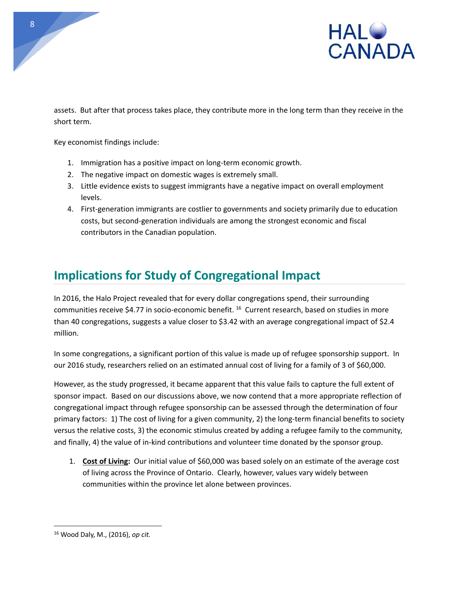

assets. But after that process takes place, they contribute more in the long term than they receive in the short term.

Key economist findings include:

- 1. Immigration has a positive impact on long-term economic growth.
- 2. The negative impact on domestic wages is extremely small.
- 3. Little evidence exists to suggest immigrants have a negative impact on overall employment levels.
- 4. First-generation immigrants are costlier to governments and society primarily due to education costs, but second-generation individuals are among the strongest economic and fiscal contributors in the Canadian population.

## **Implications for Study of Congregational Impact**

In 2016, the Halo Project revealed that for every dollar congregations spend, their surrounding communities receive \$4.77 in socio-economic benefit. <sup>16</sup> Current research, based on studies in more than 40 congregations, suggests a value closer to \$3.42 with an average congregational impact of \$2.4 million.

In some congregations, a significant portion of this value is made up of refugee sponsorship support. In our 2016 study, researchers relied on an estimated annual cost of living for a family of 3 of \$60,000.

However, as the study progressed, it became apparent that this value fails to capture the full extent of sponsor impact. Based on our discussions above, we now contend that a more appropriate reflection of congregational impact through refugee sponsorship can be assessed through the determination of four primary factors: 1) The cost of living for a given community, 2) the long-term financial benefits to society versus the relative costs, 3) the economic stimulus created by adding a refugee family to the community, and finally, 4) the value of in-kind contributions and volunteer time donated by the sponsor group.

1. **Cost of Living:** Our initial value of \$60,000 was based solely on an estimate of the average cost of living across the Province of Ontario. Clearly, however, values vary widely between communities within the province let alone between provinces.

<sup>16</sup> Wood Daly, M., (2016), *op cit.*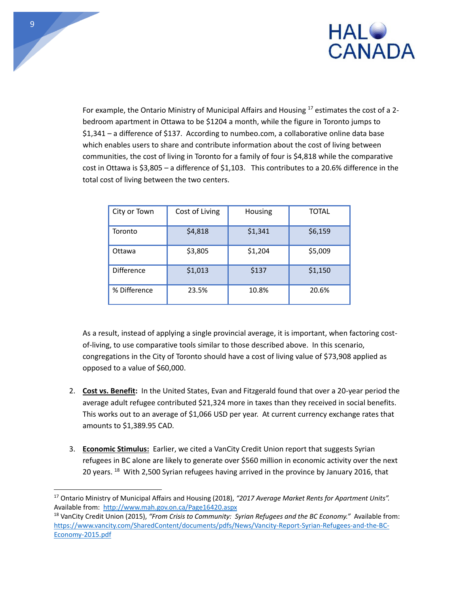

For example, the Ontario Ministry of Municipal Affairs and Housing  $17$  estimates the cost of a 2bedroom apartment in Ottawa to be \$1204 a month, while the figure in Toronto jumps to \$1,341 – a difference of \$137. According to numbeo.com, a collaborative online data base which enables users to share and contribute information about the cost of living between communities, the cost of living in Toronto for a family of four is \$4,818 while the comparative cost in Ottawa is \$3,805 – a difference of \$1,103. This contributes to a 20.6% difference in the total cost of living between the two centers.

| City or Town      | Cost of Living | Housing | <b>TOTAL</b> |
|-------------------|----------------|---------|--------------|
| Toronto           | \$4,818        | \$1,341 | \$6,159      |
| Ottawa            | \$3,805        | \$1,204 | \$5,009      |
| <b>Difference</b> | \$1,013        | \$137   | \$1,150      |
| % Difference      | 23.5%          | 10.8%   | 20.6%        |

As a result, instead of applying a single provincial average, it is important, when factoring costof-living, to use comparative tools similar to those described above. In this scenario, congregations in the City of Toronto should have a cost of living value of \$73,908 applied as opposed to a value of \$60,000.

- 2. **Cost vs. Benefit:** In the United States, Evan and Fitzgerald found that over a 20-year period the average adult refugee contributed \$21,324 more in taxes than they received in social benefits. This works out to an average of \$1,066 USD per year. At current currency exchange rates that amounts to \$1,389.95 CAD.
- 3. **Economic Stimulus:** Earlier, we cited a VanCity Credit Union report that suggests Syrian refugees in BC alone are likely to generate over \$560 million in economic activity over the next 20 years. <sup>18</sup> With 2,500 Syrian refugees having arrived in the province by January 2016, that

<sup>17</sup> Ontario Ministry of Municipal Affairs and Housing (2018), *"2017 Average Market Rents for Apartment Units".*  Available from: <http://www.mah.gov.on.ca/Page16420.aspx>

<sup>&</sup>lt;sup>18</sup> VanCity Credit Union (2015), "From Crisis to Community: Syrian Refugees and the BC Economy." Available from: [https://www.vancity.com/SharedContent/documents/pdfs/News/Vancity](https://www.vancity.com/SharedContent/documents/pdfs/News/Vancity-Report-Syrian-Refugees-and-the-BC-Economy-2015.pdf)-Report-Syrian-Refugees-and-the-BC-[Economy](https://www.vancity.com/SharedContent/documents/pdfs/News/Vancity-Report-Syrian-Refugees-and-the-BC-Economy-2015.pdf)-2015.pdf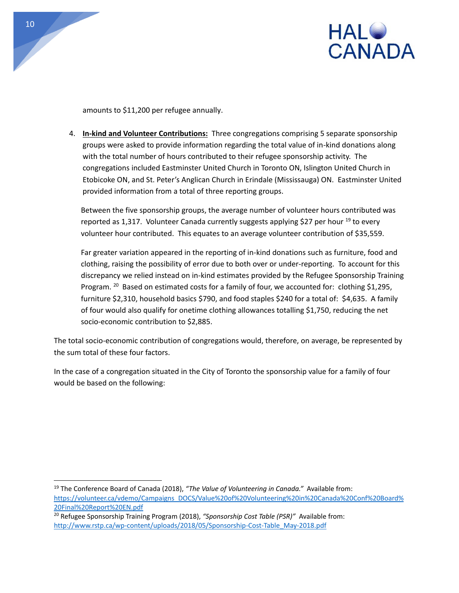

amounts to \$11,200 per refugee annually.

4. **In-kind and Volunteer Contributions:** Three congregations comprising 5 separate sponsorship groups were asked to provide information regarding the total value of in-kind donations along with the total number of hours contributed to their refugee sponsorship activity. The congregations included Eastminster United Church in Toronto ON, Islington United Church in Etobicoke ON, and St. Peter's Anglican Church in Erindale (Mississauga) ON. Eastminster United provided information from a total of three reporting groups.

Between the five sponsorship groups, the average number of volunteer hours contributed was reported as 1,317. Volunteer Canada currently suggests applying \$27 per hour  $^{19}$  to every volunteer hour contributed. This equates to an average volunteer contribution of \$35,559.

Far greater variation appeared in the reporting of in-kind donations such as furniture, food and clothing, raising the possibility of error due to both over or under-reporting. To account for this discrepancy we relied instead on in-kind estimates provided by the Refugee Sponsorship Training Program.<sup>20</sup> Based on estimated costs for a family of four, we accounted for: clothing \$1,295, furniture \$2,310, household basics \$790, and food staples \$240 for a total of: \$4,635. A family of four would also qualify for onetime clothing allowances totalling \$1,750, reducing the net socio-economic contribution to \$2,885.

The total socio-economic contribution of congregations would, therefore, on average, be represented by the sum total of these four factors.

In the case of a congregation situated in the City of Toronto the sponsorship value for a family of four would be based on the following:

<sup>19</sup> The Conference Board of Canada (2018), *"The Value of Volunteering in Canada."* Available from: [https://volunteer.ca/vdemo/Campaigns\\_DOCS/Value%20of%20Volunteering%20in%20Canada%20Conf%20Board%](https://volunteer.ca/vdemo/Campaigns_DOCS/Value%20of%20Volunteering%20in%20Canada%20Conf%20Board%20Final%20Report%20EN.pdf) [20Final%20Report%20EN.pdf](https://volunteer.ca/vdemo/Campaigns_DOCS/Value%20of%20Volunteering%20in%20Canada%20Conf%20Board%20Final%20Report%20EN.pdf)

<sup>20</sup> Refugee Sponsorship Training Program (2018), *"Sponsorship Cost Table (PSR)"* Available from: http://www.rstp.ca/wp-[content/uploads/2018/05/Sponsorship](http://www.rstp.ca/wp-content/uploads/2018/05/Sponsorship-Cost-Table_May-2018.pdf)-Cost-Table\_May-2018.pdf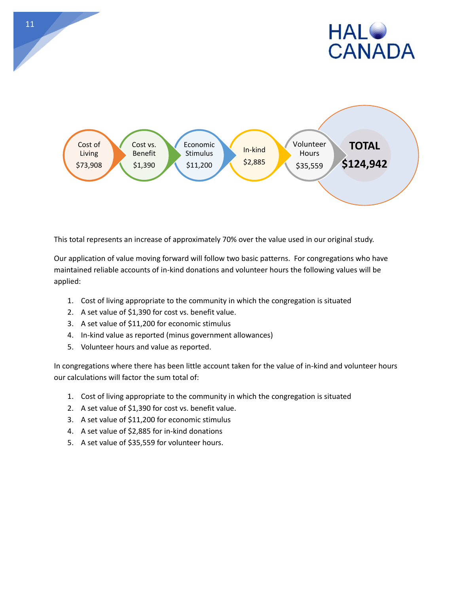



This total represents an increase of approximately 70% over the value used in our original study.

Our application of value moving forward will follow two basic patterns. For congregations who have maintained reliable accounts of in-kind donations and volunteer hours the following values will be applied:

- 1. Cost of living appropriate to the community in which the congregation is situated
- 2. A set value of \$1,390 for cost vs. benefit value.
- 3. A set value of \$11,200 for economic stimulus
- 4. In-kind value as reported (minus government allowances)
- 5. Volunteer hours and value as reported.

In congregations where there has been little account taken for the value of in-kind and volunteer hours our calculations will factor the sum total of:

- 1. Cost of living appropriate to the community in which the congregation is situated
- 2. A set value of \$1,390 for cost vs. benefit value.
- 3. A set value of \$11,200 for economic stimulus
- 4. A set value of \$2,885 for in-kind donations
- 5. A set value of \$35,559 for volunteer hours.